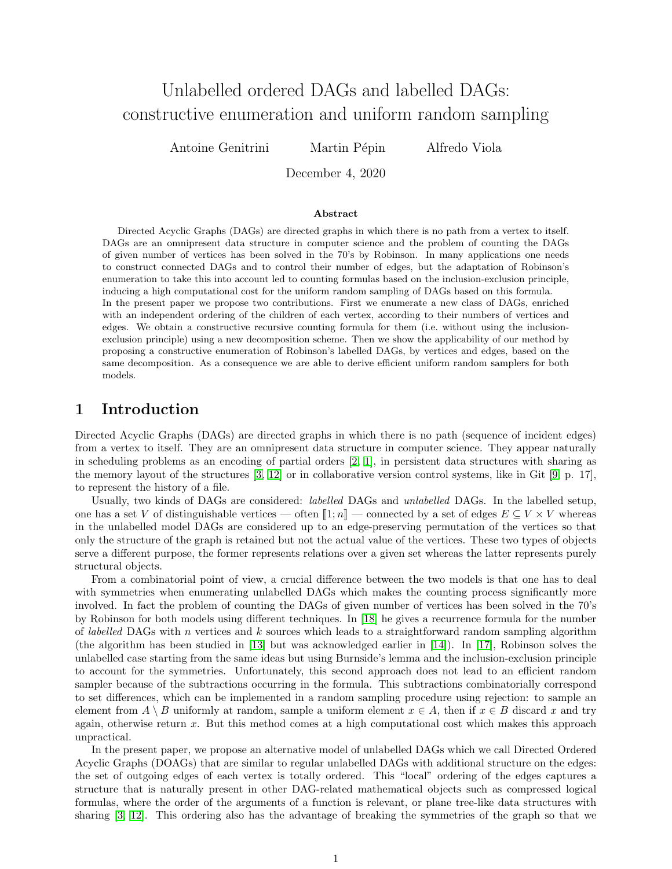# Unlabelled ordered DAGs and labelled DAGs: constructive enumeration and uniform random sampling

Antoine Genitrini Martin Pépin Alfredo Viola

December 4, 2020

#### Abstract

Directed Acyclic Graphs (DAGs) are directed graphs in which there is no path from a vertex to itself. DAGs are an omnipresent data structure in computer science and the problem of counting the DAGs of given number of vertices has been solved in the 70's by Robinson. In many applications one needs to construct connected DAGs and to control their number of edges, but the adaptation of Robinson's enumeration to take this into account led to counting formulas based on the inclusion-exclusion principle, inducing a high computational cost for the uniform random sampling of DAGs based on this formula. In the present paper we propose two contributions. First we enumerate a new class of DAGs, enriched with an independent ordering of the children of each vertex, according to their numbers of vertices and edges. We obtain a constructive recursive counting formula for them (i.e. without using the inclusionexclusion principle) using a new decomposition scheme. Then we show the applicability of our method by proposing a constructive enumeration of Robinson's labelled DAGs, by vertices and edges, based on the same decomposition. As a consequence we are able to derive efficient uniform random samplers for both models.

## 1 Introduction

Directed Acyclic Graphs (DAGs) are directed graphs in which there is no path (sequence of incident edges) from a vertex to itself. They are an omnipresent data structure in computer science. They appear naturally in scheduling problems as an encoding of partial orders [\[2,](#page-7-0) [1\]](#page-7-1), in persistent data structures with sharing as the memory layout of the structures [\[3,](#page-7-2) [12\]](#page-7-3) or in collaborative version control systems, like in Git [\[9,](#page-7-4) p. 17], to represent the history of a file.

Usually, two kinds of DAGs are considered: labelled DAGs and unlabelled DAGs. In the labelled setup, one has a set V of distinguishable vertices — often  $[1;n]$  — connected by a set of edges  $E \subseteq V \times V$  whereas in the unlabelled model DAGs are considered up to an edge-preserving permutation of the vertices so that only the structure of the graph is retained but not the actual value of the vertices. These two types of objects serve a different purpose, the former represents relations over a given set whereas the latter represents purely structural objects.

From a combinatorial point of view, a crucial difference between the two models is that one has to deal with symmetries when enumerating unlabelled DAGs which makes the counting process significantly more involved. In fact the problem of counting the DAGs of given number of vertices has been solved in the 70's by Robinson for both models using different techniques. In [\[18\]](#page-7-5) he gives a recurrence formula for the number of *labelled* DAGs with n vertices and  $k$  sources which leads to a straightforward random sampling algorithm (the algorithm has been studied in [\[13\]](#page-7-6) but was acknowledged earlier in [\[14\]](#page-7-7)). In [\[17\]](#page-7-8), Robinson solves the unlabelled case starting from the same ideas but using Burnside's lemma and the inclusion-exclusion principle to account for the symmetries. Unfortunately, this second approach does not lead to an efficient random sampler because of the subtractions occurring in the formula. This subtractions combinatorially correspond to set differences, which can be implemented in a random sampling procedure using rejection: to sample an element from  $A \setminus B$  uniformly at random, sample a uniform element  $x \in A$ , then if  $x \in B$  discard x and try again, otherwise return  $x$ . But this method comes at a high computational cost which makes this approach unpractical.

In the present paper, we propose an alternative model of unlabelled DAGs which we call Directed Ordered Acyclic Graphs (DOAGs) that are similar to regular unlabelled DAGs with additional structure on the edges: the set of outgoing edges of each vertex is totally ordered. This "local" ordering of the edges captures a structure that is naturally present in other DAG-related mathematical objects such as compressed logical formulas, where the order of the arguments of a function is relevant, or plane tree-like data structures with sharing [\[3,](#page-7-2) [12\]](#page-7-3). This ordering also has the advantage of breaking the symmetries of the graph so that we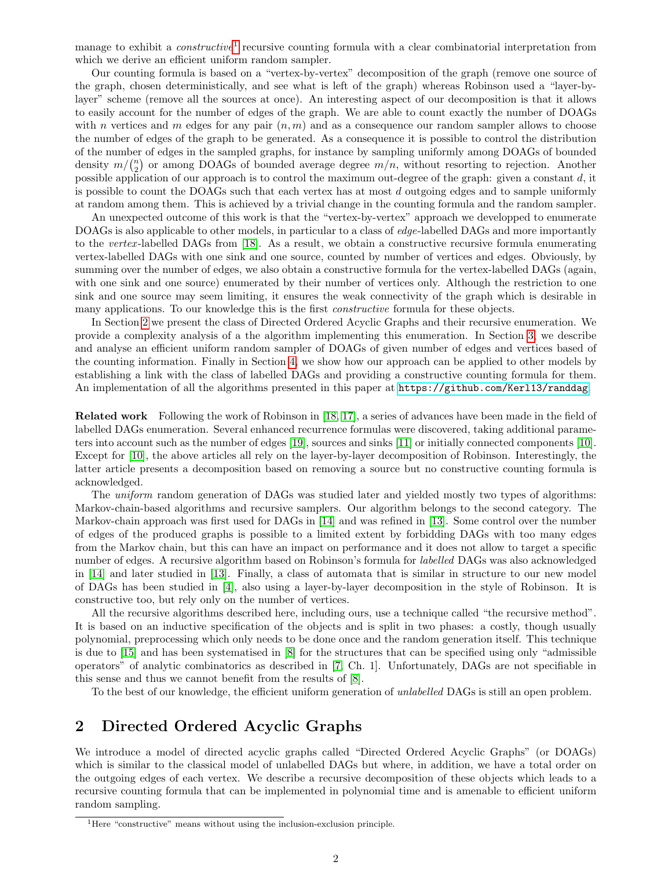manage to exhibit a *constructive*<sup>[1](#page-1-0)</sup> recursive counting formula with a clear combinatorial interpretation from which we derive an efficient uniform random sampler.

Our counting formula is based on a "vertex-by-vertex" decomposition of the graph (remove one source of the graph, chosen deterministically, and see what is left of the graph) whereas Robinson used a "layer-bylayer" scheme (remove all the sources at once). An interesting aspect of our decomposition is that it allows to easily account for the number of edges of the graph. We are able to count exactly the number of DOAGs with n vertices and m edges for any pair  $(n, m)$  and as a consequence our random sampler allows to choose the number of edges of the graph to be generated. As a consequence it is possible to control the distribution of the number of edges in the sampled graphs, for instance by sampling uniformly among DOAGs of bounded density  $m\binom{n}{2}$  or among DOAGs of bounded average degree  $m/n$ , without resorting to rejection. Another possible application of our approach is to control the maximum out-degree of the graph: given a constant d, it is possible to count the DOAGs such that each vertex has at most d outgoing edges and to sample uniformly at random among them. This is achieved by a trivial change in the counting formula and the random sampler.

An unexpected outcome of this work is that the "vertex-by-vertex" approach we developped to enumerate DOAGs is also applicable to other models, in particular to a class of edge-labelled DAGs and more importantly to the vertex -labelled DAGs from [\[18\]](#page-7-5). As a result, we obtain a constructive recursive formula enumerating vertex-labelled DAGs with one sink and one source, counted by number of vertices and edges. Obviously, by summing over the number of edges, we also obtain a constructive formula for the vertex-labelled DAGs (again, with one sink and one source) enumerated by their number of vertices only. Although the restriction to one sink and one source may seem limiting, it ensures the weak connectivity of the graph which is desirable in many applications. To our knowledge this is the first *constructive* formula for these objects.

In Section [2](#page-1-1) we present the class of Directed Ordered Acyclic Graphs and their recursive enumeration. We provide a complexity analysis of a the algorithm implementing this enumeration. In Section [3,](#page-4-0) we describe and analyse an efficient uniform random sampler of DOAGs of given number of edges and vertices based of the counting information. Finally in Section [4,](#page-6-0) we show how our approach can be applied to other models by establishing a link with the class of labelled DAGs and providing a constructive counting formula for them. An implementation of all the algorithms presented in this paper at <https://github.com/Kerl13/randdag>.

Related work Following the work of Robinson in [\[18,](#page-7-5) [17\]](#page-7-8), a series of advances have been made in the field of labelled DAGs enumeration. Several enhanced recurrence formulas were discovered, taking additional parameters into account such as the number of edges [\[19\]](#page-7-9), sources and sinks [\[11\]](#page-7-10) or initially connected components [\[10\]](#page-7-11). Except for [\[10\]](#page-7-11), the above articles all rely on the layer-by-layer decomposition of Robinson. Interestingly, the latter article presents a decomposition based on removing a source but no constructive counting formula is acknowledged.

The *uniform* random generation of DAGs was studied later and yielded mostly two types of algorithms: Markov-chain-based algorithms and recursive samplers. Our algorithm belongs to the second category. The Markov-chain approach was first used for DAGs in [\[14\]](#page-7-7) and was refined in [\[13\]](#page-7-6). Some control over the number of edges of the produced graphs is possible to a limited extent by forbidding DAGs with too many edges from the Markov chain, but this can have an impact on performance and it does not allow to target a specific number of edges. A recursive algorithm based on Robinson's formula for labelled DAGs was also acknowledged in [\[14\]](#page-7-7) and later studied in [\[13\]](#page-7-6). Finally, a class of automata that is similar in structure to our new model of DAGs has been studied in [\[4\]](#page-7-12), also using a layer-by-layer decomposition in the style of Robinson. It is constructive too, but rely only on the number of vertices.

All the recursive algorithms described here, including ours, use a technique called "the recursive method". It is based on an inductive specification of the objects and is split in two phases: a costly, though usually polynomial, preprocessing which only needs to be done once and the random generation itself. This technique is due to [\[15\]](#page-7-13) and has been systematised in [\[8\]](#page-7-14) for the structures that can be specified using only "admissible operators" of analytic combinatorics as described in [\[7,](#page-7-15) Ch. 1]. Unfortunately, DAGs are not specifiable in this sense and thus we cannot benefit from the results of [\[8\]](#page-7-14).

To the best of our knowledge, the efficient uniform generation of *unlabelled* DAGs is still an open problem.

## <span id="page-1-1"></span>2 Directed Ordered Acyclic Graphs

We introduce a model of directed acyclic graphs called "Directed Ordered Acyclic Graphs" (or DOAGs) which is similar to the classical model of unlabelled DAGs but where, in addition, we have a total order on the outgoing edges of each vertex. We describe a recursive decomposition of these objects which leads to a recursive counting formula that can be implemented in polynomial time and is amenable to efficient uniform random sampling.

<span id="page-1-0"></span> $^1\rm{Here}$  "constructive" means without using the inclusion-exclusion principle.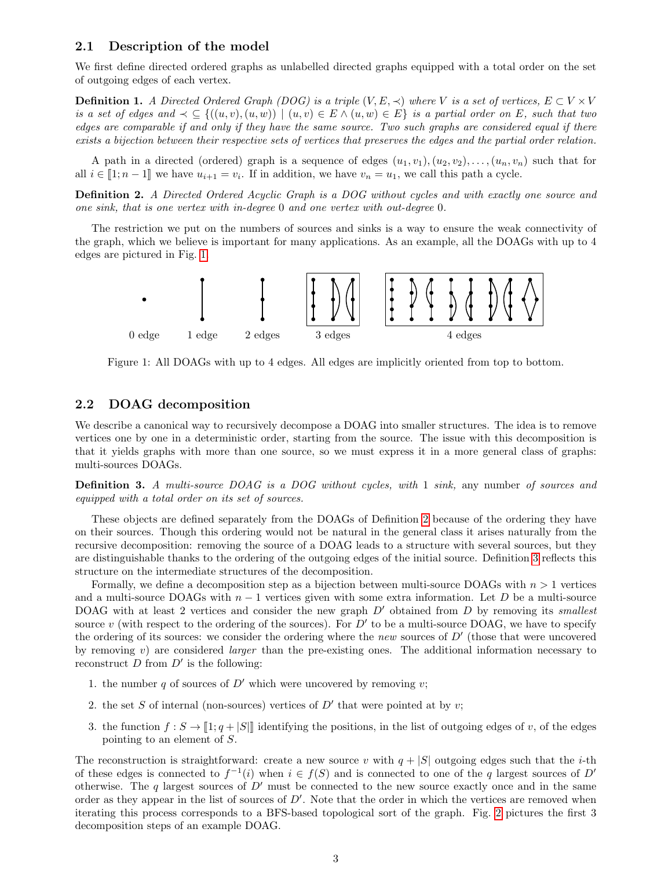#### 2.1 Description of the model

We first define directed ordered graphs as unlabelled directed graphs equipped with a total order on the set of outgoing edges of each vertex.

**Definition 1.** A Directed Ordered Graph (DOG) is a triple  $(V, E, \prec)$  where V is a set of vertices,  $E \subset V \times V$ is a set of edges and  $\prec \subseteq \{((u, v), (u, w)) \mid (u, v) \in E \land (u, w) \in E\}$  is a partial order on E, such that two edges are comparable if and only if they have the same source. Two such graphs are considered equal if there exists a bijection between their respective sets of vertices that preserves the edges and the partial order relation.

A path in a directed (ordered) graph is a sequence of edges  $(u_1, v_1), (u_2, v_2), \ldots, (u_n, v_n)$  such that for all  $i \in [1; n-1]$  we have  $u_{i+1} = v_i$ . If in addition, we have  $v_n = u_1$ , we call this path a cycle.

<span id="page-2-1"></span>Definition 2. A Directed Ordered Acyclic Graph is a DOG without cycles and with exactly one source and one sink, that is one vertex with in-degree 0 and one vertex with out-degree 0.

The restriction we put on the numbers of sources and sinks is a way to ensure the weak connectivity of the graph, which we believe is important for many applications. As an example, all the DOAGs with up to 4 edges are pictured in Fig. [1.](#page-2-0)



<span id="page-2-0"></span>Figure 1: All DOAGs with up to 4 edges. All edges are implicitly oriented from top to bottom.

#### 2.2 DOAG decomposition

We describe a canonical way to recursively decompose a DOAG into smaller structures. The idea is to remove vertices one by one in a deterministic order, starting from the source. The issue with this decomposition is that it yields graphs with more than one source, so we must express it in a more general class of graphs: multi-sources DOAGs.

<span id="page-2-2"></span>Definition 3. A multi-source DOAG is a DOG without cycles, with 1 sink, any number of sources and equipped with a total order on its set of sources.

These objects are defined separately from the DOAGs of Definition [2](#page-2-1) because of the ordering they have on their sources. Though this ordering would not be natural in the general class it arises naturally from the recursive decomposition: removing the source of a DOAG leads to a structure with several sources, but they are distinguishable thanks to the ordering of the outgoing edges of the initial source. Definition [3](#page-2-2) reflects this structure on the intermediate structures of the decomposition.

Formally, we define a decomposition step as a bijection between multi-source DOAGs with  $n > 1$  vertices and a multi-source DOAGs with  $n-1$  vertices given with some extra information. Let D be a multi-source DOAG with at least 2 vertices and consider the new graph  $D'$  obtained from D by removing its smallest source v (with respect to the ordering of the sources). For  $D'$  to be a multi-source DOAG, we have to specify the ordering of its sources: we consider the ordering where the new sources of  $D'$  (those that were uncovered by removing v) are considered *larger* than the pre-existing ones. The additional information necessary to reconstruct  $D$  from  $D'$  is the following:

- 1. the number q of sources of  $D'$  which were uncovered by removing v;
- 2. the set S of internal (non-sources) vertices of  $D'$  that were pointed at by v;
- 3. the function  $f: S \to [1; q + |S|]$  identifying the positions, in the list of outgoing edges of v, of the edges pointing to an element of S.

The reconstruction is straightforward: create a new source v with  $q + |S|$  outgoing edges such that the i-th of these edges is connected to  $f^{-1}(i)$  when  $i \in f(S)$  and is connected to one of the q largest sources of D' otherwise. The q largest sources of  $D'$  must be connected to the new source exactly once and in the same order as they appear in the list of sources of  $D'$ . Note that the order in which the vertices are removed when iterating this process corresponds to a BFS-based topological sort of the graph. Fig. [2](#page-3-0) pictures the first 3 decomposition steps of an example DOAG.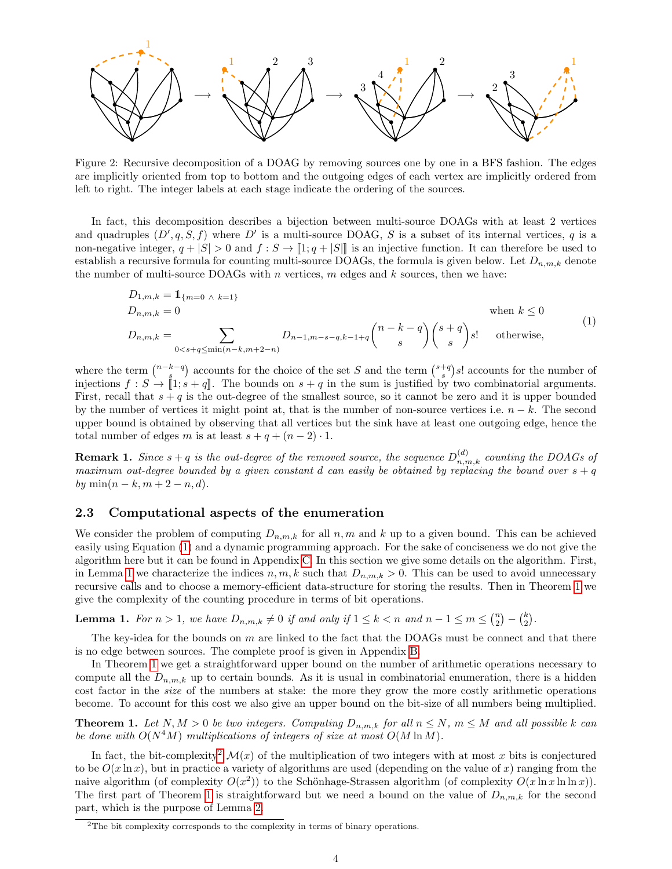

Figure 2: Recursive decomposition of a DOAG by removing sources one by one in a BFS fashion. The edges are implicitly oriented from top to bottom and the outgoing edges of each vertex are implicitly ordered from left to right. The integer labels at each stage indicate the ordering of the sources.

In fact, this decomposition describes a bijection between multi-source DOAGs with at least 2 vertices and quadruples  $(D', q, S, f)$  where D' is a multi-source DOAG, S is a subset of its internal vertices, q is a non-negative integer,  $q + |S| > 0$  and  $f : S \to [1; q + |S|]$  is an injective function. It can therefore be used to establish a recursive formula for counting multi-source DOAGs, the formula is given below. Let  $D_{n,m,k}$  denote the number of multi-source DOAGs with  $n$  vertices,  $m$  edges and  $k$  sources, then we have:

<span id="page-3-1"></span><span id="page-3-0"></span>
$$
D_{1,m,k} = 1_{\{m=0 \land k=1\}}
$$
  
\n
$$
D_{n,m,k} = 0
$$
 when  $k \le 0$   
\n
$$
D_{n,m,k} = \sum_{0 < s + q \le \min(n-k,m+2-n)} D_{n-1,m-s-q,k-1+q} \binom{n-k-q}{s} \binom{s+q}{s} s! \text{ otherwise,}
$$
\n(1)

where the term  $\binom{n-k-q}{s}$  accounts for the choice of the set S and the term  $\binom{s+q}{s}s!$  accounts for the number of injections  $f: S \to \mathbb{I} \times [s + q]$ . The bounds on  $s + q$  in the sum is justified by two combinatorial arguments. First, recall that  $s + q$  is the out-degree of the smallest source, so it cannot be zero and it is upper bounded by the number of vertices it might point at, that is the number of non-source vertices i.e.  $n - k$ . The second upper bound is obtained by observing that all vertices but the sink have at least one outgoing edge, hence the total number of edges m is at least  $s + q + (n - 2) \cdot 1$ .

<span id="page-3-5"></span>**Remark 1.** Since  $s + q$  is the out-degree of the removed source, the sequence  $D_{n,m,k}^{(d)}$  counting the DOAGs of maximum out-degree bounded by a given constant d can easily be obtained by replacing the bound over  $s + q$ by  $\min(n - k, m + 2 - n, d)$ .

#### 2.3 Computational aspects of the enumeration

We consider the problem of computing  $D_{n,m,k}$  for all n, m and k up to a given bound. This can be achieved easily using Equation [\(1\)](#page-3-1) and a dynamic programming approach. For the sake of conciseness we do not give the algorithm here but it can be found in Appendix [C.](#page-11-0) In this section we give some details on the algorithm. First, in Lemma [1](#page-3-2) we characterize the indices  $n, m, k$  such that  $D_{n,m,k} > 0$ . This can be used to avoid unnecessary recursive calls and to choose a memory-efficient data-structure for storing the results. Then in Theorem [1](#page-3-3) we give the complexity of the counting procedure in terms of bit operations.

<span id="page-3-2"></span>**Lemma 1.** For  $n > 1$ , we have  $D_{n,m,k} \neq 0$  if and only if  $1 \leq k < n$  and  $n - 1 \leq m \leq {n \choose 2} - {k \choose 2}$ .

The key-idea for the bounds on m are linked to the fact that the DOAGs must be connect and that there is no edge between sources. The complete proof is given in Appendix [B.](#page-10-0)

In Theorem [1](#page-3-3) we get a straightforward upper bound on the number of arithmetic operations necessary to compute all the  $D_{n,m,k}$  up to certain bounds. As it is usual in combinatorial enumeration, there is a hidden cost factor in the size of the numbers at stake: the more they grow the more costly arithmetic operations become. To account for this cost we also give an upper bound on the bit-size of all numbers being multiplied.

<span id="page-3-3"></span>**Theorem 1.** Let  $N, M > 0$  be two integers. Computing  $D_{n,m,k}$  for all  $n \leq N, m \leq M$  and all possible k can be done with  $O(N^4M)$  multiplications of integers of size at most  $O(M \ln M)$ .

In fact, the bit-complexity<sup>[2](#page-3-4)</sup>  $\mathcal{M}(x)$  of the multiplication of two integers with at most x bits is conjectured to be  $O(x \ln x)$ , but in practice a variety of algorithms are used (depending on the value of x) ranging from the naive algorithm (of complexity  $O(x^2)$ ) to the Schönhage-Strassen algorithm (of complexity  $O(x \ln x \ln \ln x)$ ). The first part of Theorem [1](#page-3-3) is straightforward but we need a bound on the value of  $D_{n,m,k}$  for the second part, which is the purpose of Lemma [2.](#page-4-1)

<span id="page-3-4"></span><sup>&</sup>lt;sup>2</sup>The bit complexity corresponds to the complexity in terms of binary operations.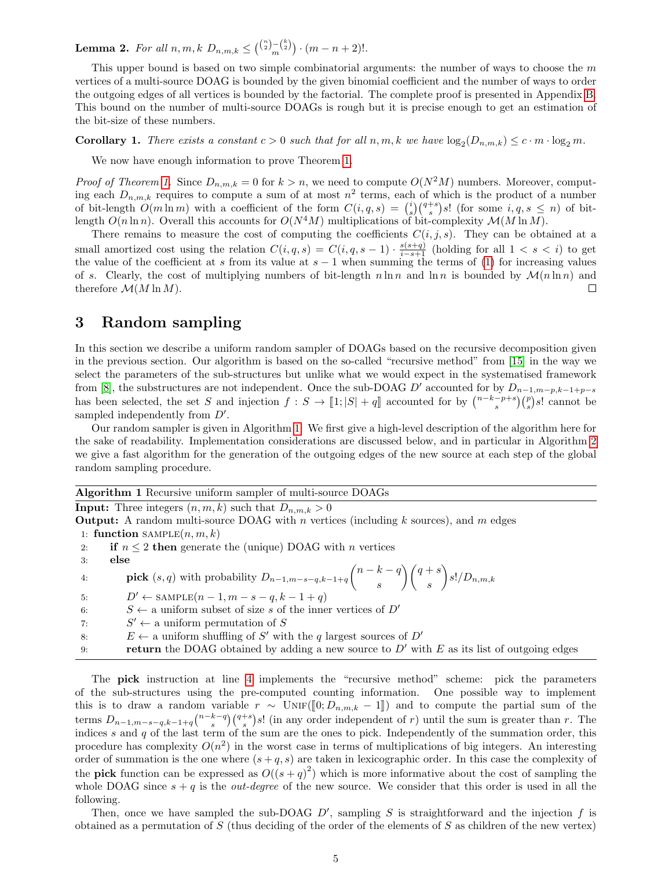<span id="page-4-1"></span>**Lemma 2.** For all  $n, m, k$   $D_{n,m,k} \leq {(\binom{n}{2} - \binom{k}{2}) \cdot (m - n + 2)!}$ .

This upper bound is based on two simple combinatorial arguments: the number of ways to choose the  $m$ vertices of a multi-source DOAG is bounded by the given binomial coefficient and the number of ways to order the outgoing edges of all vertices is bounded by the factorial. The complete proof is presented in Appendix [B.](#page-10-0) This bound on the number of multi-source DOAGs is rough but it is precise enough to get an estimation of the bit-size of these numbers.

#### <span id="page-4-3"></span>**Corollary 1.** There exists a constant  $c > 0$  such that for all  $n, m, k$  we have  $\log_2(D_{n,m,k}) \leq c \cdot m \cdot \log_2 m$ .

We now have enough information to prove Theorem [1.](#page-3-3)

*Proof of Theorem [1.](#page-3-3)* Since  $D_{n,m,k} = 0$  for  $k > n$ , we need to compute  $O(N^2M)$  numbers. Moreover, computing each  $D_{n,m,k}$  requires to compute a sum of at most  $n^2$  terms, each of which is the product of a number of bit-length  $O(m \ln m)$  with a coefficient of the form  $C(i,q,s) = {i \choose s} {q+s \choose s} s!$  (for some  $i,q,s \leq n$ ) of bitlength  $O(n \ln n)$ . Overall this accounts for  $O(N^4M)$  multiplications of bit-complexity  $\mathcal{M}(M \ln M)$ .

There remains to measure the cost of computing the coefficients  $C(i, j, s)$ . They can be obtained at a small amortized cost using the relation  $C(i, q, s) = C(i, q, s - 1) \cdot \frac{s(s+q)}{i-s+1}$  (holding for all  $1 < s < i$ ) to get the value of the coefficient at s from its value at  $s - 1$  when summing the terms of [\(1\)](#page-3-1) for increasing values of s. Clearly, the cost of multiplying numbers of bit-length  $n \ln n$  and  $\ln n$  is bounded by  $\mathcal{M}(n \ln n)$  and therefore  $\mathcal{M}(M \ln M)$ . П

### <span id="page-4-0"></span>3 Random sampling

In this section we describe a uniform random sampler of DOAGs based on the recursive decomposition given in the previous section. Our algorithm is based on the so-called "recursive method" from [\[15\]](#page-7-13) in the way we select the parameters of the sub-structures but unlike what we would expect in the systematised framework from [\[8\]](#page-7-14), the substructures are not independent. Once the sub-DOAG D' accounted for by  $D_{n-1,m-p,k-1+p-s}$ has been selected, the set S and injection  $f : S \to [1; |S| + q]$  accounted for by  $\binom{n-k-p+s}{s} \binom{p}{s} s!$  cannot be sampled independently from  $D'$ .

Our random sampler is given in Algorithm [1.](#page-4-2) We first give a high-level description of the algorithm here for the sake of readability. Implementation considerations are discussed below, and in particular in Algorithm [2](#page-5-0) we give a fast algorithm for the generation of the outgoing edges of the new source at each step of the global random sampling procedure.

Algorithm 1 Recursive uniform sampler of multi-source DOAGs

<span id="page-4-2"></span>

| <b>Input:</b> Three integers $(n, m, k)$ such that $D_{n,m,k} > 0$                                              |
|-----------------------------------------------------------------------------------------------------------------|
| <b>Output:</b> A random multi-source DOAG with n vertices (including $k$ sources), and m edges                  |
| 1: function SAMPLE $(n, m, k)$                                                                                  |
| <b>if</b> $n \leq 2$ then generate the (unique) DOAG with <i>n</i> vertices<br>2:                               |
| else<br>3:                                                                                                      |
| <b>pick</b> $(s,q)$ with probability $D_{n-1,m-s-q,k-1+q} {n-k-q \choose s} {q+s \choose s} s!/D_{n,m,k}$<br>4: |
| $D' \leftarrow \text{SAMPLE}(n-1, m-s-q, k-1+q)$<br>5:                                                          |
| $S \leftarrow$ a uniform subset of size s of the inner vertices of D'<br>6:                                     |
| $S' \leftarrow$ a uniform permutation of S<br>7:                                                                |
| $E \leftarrow$ a uniform shuffling of S' with the q largest sources of D'<br>8:                                 |
| <b>return</b> the DOAG obtained by adding a new source to $D'$ with E as its list of outgoing edges<br>9:       |
|                                                                                                                 |

The pick instruction at line [4](#page-4-2) implements the "recursive method" scheme: pick the parameters of the sub-structures using the pre-computed counting information. One possible way to implement this is to draw a random variable  $r \sim \text{UNIF}([0; D_{n,m,k} - 1])$  and to compute the partial sum of the terms  $D_{n-1,m-s-q,k-1+q} \binom{n-k-q}{s} \binom{q+s}{s} s!$  (in any order independent of r) until the sum is greater than r. The indices  $s$  and  $q$  of the last term of the sum are the ones to pick. Independently of the summation order, this procedure has complexity  $O(n^2)$  in the worst case in terms of multiplications of big integers. An interesting order of summation is the one where  $(s+q, s)$  are taken in lexicographic order. In this case the complexity of the **pick** function can be expressed as  $O((s+q)^2)$  which is more informative about the cost of sampling the whole DOAG since  $s + q$  is the *out-degree* of the new source. We consider that this order is used in all the following.

Then, once we have sampled the sub-DOAG  $D'$ , sampling S is straightforward and the injection f is obtained as a permutation of S (thus deciding of the order of the elements of S as children of the new vertex)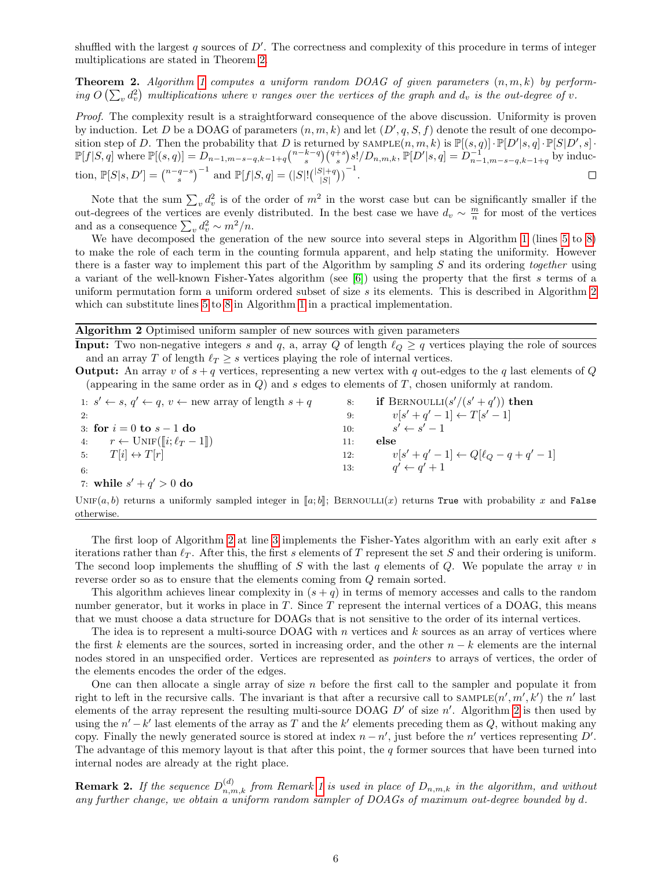shuffled with the largest q sources of  $D'$ . The correctness and complexity of this procedure in terms of integer multiplications are stated in Theorem [2.](#page-5-1)

<span id="page-5-1"></span>**Theorem 2.** Algorithm [1](#page-4-2) computes a uniform random DOAG of given parameters  $(n, m, k)$  by performing  $O\left(\sum_v d_v^2\right)$  multiplications where v ranges over the vertices of the graph and  $d_v$  is the out-degree of v.

Proof. The complexity result is a straightforward consequence of the above discussion. Uniformity is proven by induction. Let D be a DOAG of parameters  $(n, m, k)$  and let  $(D', q, S, f)$  denote the result of one decomposition step of D. Then the probability that D is returned by  $\text{SAMPLE}(n, m, k)$  is  $\mathbb{P}[(s, q)] \cdot \mathbb{P}[D'|s, q] \cdot \mathbb{P}[S|D', s]$ .  $\mathbb{P}[f|S,q]$  where  $\mathbb{P}[(s,q)] = D_{n-1,m-s-q,k-1+q} \binom{n-k-q}{s} \binom{q+s}{s} s!/D_{n,m,k}$ ,  $\mathbb{P}[D'|s,q] = D_{n-1,m-s-q,k-1+q}^{-1}$  by induc- $\frac{|S|+q}{|S|}\big)\big)^{-1}.$ tion,  $\mathbb{P}[S|s, D'] = {\binom{n-q-s}{s}}^{-1}$  and  $\mathbb{P}[f|S, q] = (|S|! \binom{|S|+q}{|S|}$  $\Box$ 

Note that the sum  $\sum_{v} d_v^2$  is of the order of  $m^2$  in the worst case but can be significantly smaller if the out-degrees of the vertices are evenly distributed. In the best case we have  $d_v \sim \frac{m}{n}$  for most of the vertices and as a consequence  $\sum_v d_v^2 \sim m^2/n$ .

We have decomposed the generation of the new source into several steps in Algorithm [1](#page-4-2) (lines [5](#page-4-2) to [8\)](#page-4-2) to make the role of each term in the counting formula apparent, and help stating the uniformity. However there is a faster way to implement this part of the Algorithm by sampling S and its ordering together using a variant of the well-known Fisher-Yates algorithm (see  $[6]$ ) using the property that the first s terms of a uniform permutation form a uniform ordered subset of size s its elements. This is described in Algorithm [2](#page-5-0) which can substitute lines [5](#page-4-2) to [8](#page-4-2) in Algorithm [1](#page-4-2) in a practical implementation.

Algorithm 2 Optimised uniform sampler of new sources with given parameters

<span id="page-5-0"></span>**Input:** Two non-negative integers s and q, a, array Q of length  $\ell_Q \geq q$  vertices playing the role of sources and an array T of length  $\ell_T \geq s$  vertices playing the role of internal vertices.

**Output:** An array v of  $s + q$  vertices, representing a new vertex with q out-edges to the q last elements of Q (appearing in the same order as in  $Q$ ) and s edges to elements of T, chosen uniformly at random.

| 1: $s' \leftarrow s, q' \leftarrow q, v \leftarrow new array of length s + q$ | 8:  | if BERNOULLI $(s'/(s'+q'))$ then                   |
|-------------------------------------------------------------------------------|-----|----------------------------------------------------|
| 2:                                                                            | 9:  | $v[s' + q' - 1] \leftarrow T[s' - 1]$              |
| 3: for $i = 0$ to $s - 1$ do                                                  | 10: | $s' \leftarrow s'-1$                               |
| 4: $r \leftarrow \text{UNIF}(\Vert i; \ell_T - 1 \Vert)$                      | 11: | else                                               |
| 5: $T[i] \leftrightarrow T[r]$                                                | 12: | $v[s' + q' - 1] \leftarrow Q[\ell_Q - q + q' - 1]$ |
| 6:                                                                            | 13: | $q' \leftarrow q' + 1$                             |
| 7: while $s' + q' > 0$ do                                                     |     |                                                    |
|                                                                               |     |                                                    |

UNIF(a, b) returns a uniformly sampled integer in [a; b]; BERNOULLI(x) returns True with probability x and False otherwise.

The first loop of Algorithm [2](#page-5-0) at line [3](#page-5-0) implements the Fisher-Yates algorithm with an early exit after s iterations rather than  $\ell_T$ . After this, the first s elements of T represent the set S and their ordering is uniform. The second loop implements the shuffling of S with the last  $q$  elements of  $Q$ . We populate the array  $v$  in reverse order so as to ensure that the elements coming from Q remain sorted.

This algorithm achieves linear complexity in  $(s + q)$  in terms of memory accesses and calls to the random number generator, but it works in place in  $T$ . Since  $T$  represent the internal vertices of a DOAG, this means that we must choose a data structure for DOAGs that is not sensitive to the order of its internal vertices.

The idea is to represent a multi-source DOAG with  $n$  vertices and  $k$  sources as an array of vertices where the first k elements are the sources, sorted in increasing order, and the other  $n - k$  elements are the internal nodes stored in an unspecified order. Vertices are represented as pointers to arrays of vertices, the order of the elements encodes the order of the edges.

One can then allocate a single array of size n before the first call to the sampler and populate it from right to left in the recursive calls. The invariant is that after a recursive call to SAMPLE $(n', m', k')$  the n' last elements of the array represent the resulting multi-source DOAG  $D'$  of size  $n'$ . Algorithm [2](#page-5-0) is then used by using the  $n' - k'$  last elements of the array as T and the k' elements preceding them as Q, without making any copy. Finally the newly generated source is stored at index  $n - n'$ , just before the n' vertices representing D'. The advantage of this memory layout is that after this point, the  $q$  former sources that have been turned into internal nodes are already at the right place.

**Remark 2.** If the sequence  $D_{n,m,k}^{(d)}$  from Remark [1](#page-3-5) is used in place of  $D_{n,m,k}$  in the algorithm, and without any further change, we obtain a uniform random sampler of DOAGs of maximum out-degree bounded by d.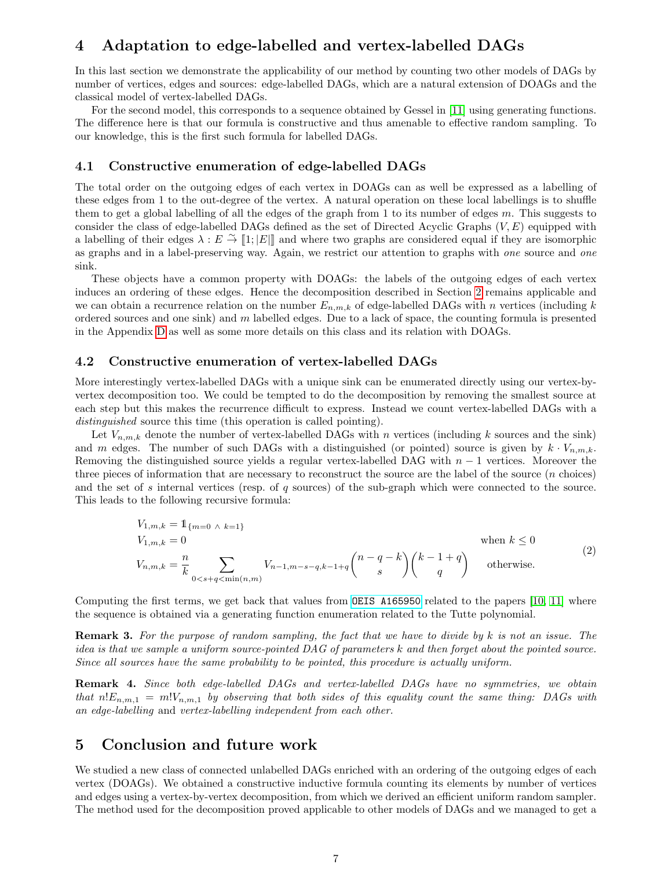## <span id="page-6-0"></span>4 Adaptation to edge-labelled and vertex-labelled DAGs

In this last section we demonstrate the applicability of our method by counting two other models of DAGs by number of vertices, edges and sources: edge-labelled DAGs, which are a natural extension of DOAGs and the classical model of vertex-labelled DAGs.

For the second model, this corresponds to a sequence obtained by Gessel in [\[11\]](#page-7-10) using generating functions. The difference here is that our formula is constructive and thus amenable to effective random sampling. To our knowledge, this is the first such formula for labelled DAGs.

#### 4.1 Constructive enumeration of edge-labelled DAGs

The total order on the outgoing edges of each vertex in DOAGs can as well be expressed as a labelling of these edges from 1 to the out-degree of the vertex. A natural operation on these local labellings is to shuffle them to get a global labelling of all the edges of the graph from 1 to its number of edges m. This suggests to consider the class of edge-labelled DAGs defined as the set of Directed Acyclic Graphs  $(V, E)$  equipped with a labelling of their edges  $\lambda : E \overset{\sim}{\rightarrow} [1; |E|]$  and where two graphs are considered equal if they are isomorphic<br>as graphs and in a label processing way. Again, we restrict our attention to graphs with one source and en as graphs and in a label-preserving way. Again, we restrict our attention to graphs with one source and one sink.

These objects have a common property with DOAGs: the labels of the outgoing edges of each vertex induces an ordering of these edges. Hence the decomposition described in Section [2](#page-1-1) remains applicable and we can obtain a recurrence relation on the number  $E_{n,m,k}$  of edge-labelled DAGs with n vertices (including k ordered sources and one sink) and m labelled edges. Due to a lack of space, the counting formula is presented in the Appendix [D](#page-12-0) as well as some more details on this class and its relation with DOAGs.

#### 4.2 Constructive enumeration of vertex-labelled DAGs

More interestingly vertex-labelled DAGs with a unique sink can be enumerated directly using our vertex-byvertex decomposition too. We could be tempted to do the decomposition by removing the smallest source at each step but this makes the recurrence difficult to express. Instead we count vertex-labelled DAGs with a distinguished source this time (this operation is called pointing).

Let  $V_{n,m,k}$  denote the number of vertex-labelled DAGs with n vertices (including k sources and the sink) and m edges. The number of such DAGs with a distinguished (or pointed) source is given by  $k \cdot V_{n,m,k}$ . Removing the distinguished source yields a regular vertex-labelled DAG with  $n-1$  vertices. Moreover the three pieces of information that are necessary to reconstruct the source are the label of the source  $(n \text{ choices})$ and the set of s internal vertices (resp. of q sources) of the sub-graph which were connected to the source. This leads to the following recursive formula:

$$
V_{1,m,k} = 1_{\{m=0 \land k=1\}}
$$
  
\n
$$
V_{1,m,k} = 0
$$
 when  $k \le 0$   
\n
$$
V_{n,m,k} = \frac{n}{k} \sum_{0 < s + q < \min(n,m)} V_{n-1,m-s-q,k-1+q} \binom{n-q-k}{s} \binom{k-1+q}{q}
$$
 otherwise. (2)

Computing the first terms, we get back that values from [OEIS A165950](https://oeis.org/A165950) related to the papers [\[10,](#page-7-11) [11\]](#page-7-10) where the sequence is obtained via a generating function enumeration related to the Tutte polynomial.

Remark 3. For the purpose of random sampling, the fact that we have to divide by k is not an issue. The idea is that we sample a uniform source-pointed DAG of parameters k and then forget about the pointed source. Since all sources have the same probability to be pointed, this procedure is actually uniform.

Remark 4. Since both edge-labelled DAGs and vertex-labelled DAGs have no symmetries, we obtain that  $n!E_{n,m,1} = m!V_{n,m,1}$  by observing that both sides of this equality count the same thing: DAGs with an edge-labelling and vertex-labelling independent from each other.

## 5 Conclusion and future work

We studied a new class of connected unlabelled DAGs enriched with an ordering of the outgoing edges of each vertex (DOAGs). We obtained a constructive inductive formula counting its elements by number of vertices and edges using a vertex-by-vertex decomposition, from which we derived an efficient uniform random sampler. The method used for the decomposition proved applicable to other models of DAGs and we managed to get a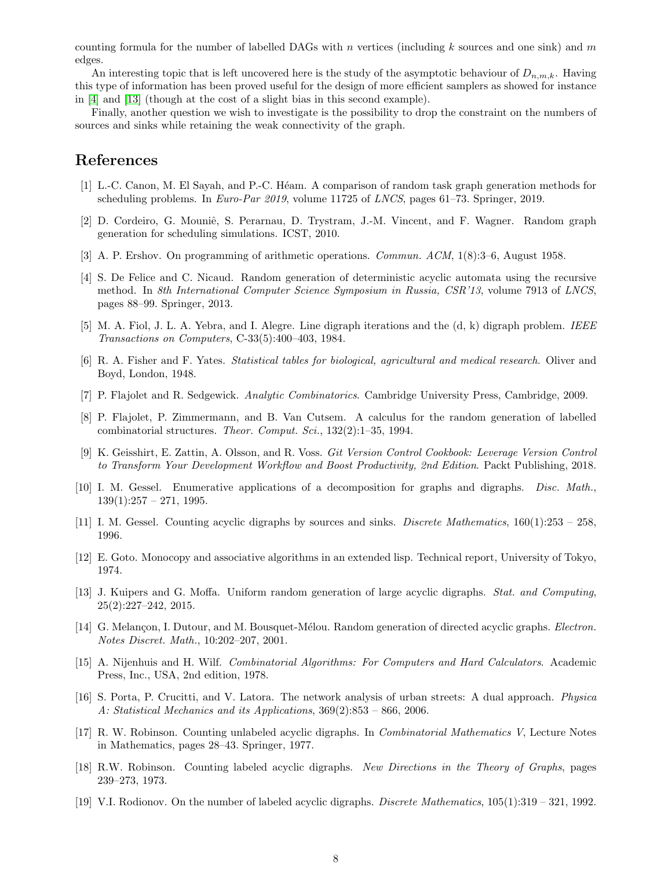counting formula for the number of labelled DAGs with n vertices (including k sources and one sink) and m edges.

An interesting topic that is left uncovered here is the study of the asymptotic behaviour of  $D_{n,m,k}$ . Having this type of information has been proved useful for the design of more efficient samplers as showed for instance in [\[4\]](#page-7-12) and [\[13\]](#page-7-6) (though at the cost of a slight bias in this second example).

Finally, another question we wish to investigate is the possibility to drop the constraint on the numbers of sources and sinks while retaining the weak connectivity of the graph.

## References

- <span id="page-7-1"></span>[1] L.-C. Canon, M. El Sayah, and P.-C. Héam. A comparison of random task graph generation methods for scheduling problems. In Euro-Par 2019, volume 11725 of LNCS, pages 61–73. Springer, 2019.
- <span id="page-7-0"></span>[2] D. Cordeiro, G. Mouniê, S. Perarnau, D. Trystram, J.-M. Vincent, and F. Wagner. Random graph generation for scheduling simulations. ICST, 2010.
- <span id="page-7-2"></span>[3] A. P. Ershov. On programming of arithmetic operations. *Commun. ACM*, 1(8):3–6, August 1958.
- <span id="page-7-12"></span>[4] S. De Felice and C. Nicaud. Random generation of deterministic acyclic automata using the recursive method. In 8th International Computer Science Symposium in Russia, CSR'13, volume 7913 of LNCS, pages 88–99. Springer, 2013.
- <span id="page-7-18"></span>[5] M. A. Fiol, J. L. A. Yebra, and I. Alegre. Line digraph iterations and the (d, k) digraph problem. IEEE Transactions on Computers, C-33(5):400–403, 1984.
- <span id="page-7-16"></span>[6] R. A. Fisher and F. Yates. Statistical tables for biological, agricultural and medical research. Oliver and Boyd, London, 1948.
- <span id="page-7-15"></span>[7] P. Flajolet and R. Sedgewick. Analytic Combinatorics. Cambridge University Press, Cambridge, 2009.
- <span id="page-7-14"></span>[8] P. Flajolet, P. Zimmermann, and B. Van Cutsem. A calculus for the random generation of labelled combinatorial structures. Theor. Comput. Sci., 132(2):1–35, 1994.
- <span id="page-7-4"></span>[9] K. Geisshirt, E. Zattin, A. Olsson, and R. Voss. Git Version Control Cookbook: Leverage Version Control to Transform Your Development Workflow and Boost Productivity, 2nd Edition. Packt Publishing, 2018.
- <span id="page-7-11"></span>[10] I. M. Gessel. Enumerative applications of a decomposition for graphs and digraphs. Disc. Math.,  $139(1):257 - 271, 1995.$
- <span id="page-7-10"></span>[11] I. M. Gessel. Counting acyclic digraphs by sources and sinks. Discrete Mathematics, 160(1):253 – 258, 1996.
- <span id="page-7-3"></span>[12] E. Goto. Monocopy and associative algorithms in an extended lisp. Technical report, University of Tokyo, 1974.
- <span id="page-7-6"></span>[13] J. Kuipers and G. Moffa. Uniform random generation of large acyclic digraphs. Stat. and Computing,  $25(2):227-242, 2015.$
- <span id="page-7-7"></span>[14] G. Melançon, I. Dutour, and M. Bousquet-Mélou. Random generation of directed acyclic graphs. *Electron*. Notes Discret. Math., 10:202–207, 2001.
- <span id="page-7-13"></span>[15] A. Nijenhuis and H. Wilf. Combinatorial Algorithms: For Computers and Hard Calculators. Academic Press, Inc., USA, 2nd edition, 1978.
- <span id="page-7-17"></span>[16] S. Porta, P. Crucitti, and V. Latora. The network analysis of urban streets: A dual approach. Physica A: Statistical Mechanics and its Applications, 369(2):853 – 866, 2006.
- <span id="page-7-8"></span>[17] R. W. Robinson. Counting unlabeled acyclic digraphs. In Combinatorial Mathematics V, Lecture Notes in Mathematics, pages 28–43. Springer, 1977.
- <span id="page-7-5"></span>[18] R.W. Robinson. Counting labeled acyclic digraphs. New Directions in the Theory of Graphs, pages 239–273, 1973.
- <span id="page-7-9"></span>[19] V.I. Rodionov. On the number of labeled acyclic digraphs. Discrete Mathematics, 105(1):319 – 321, 1992.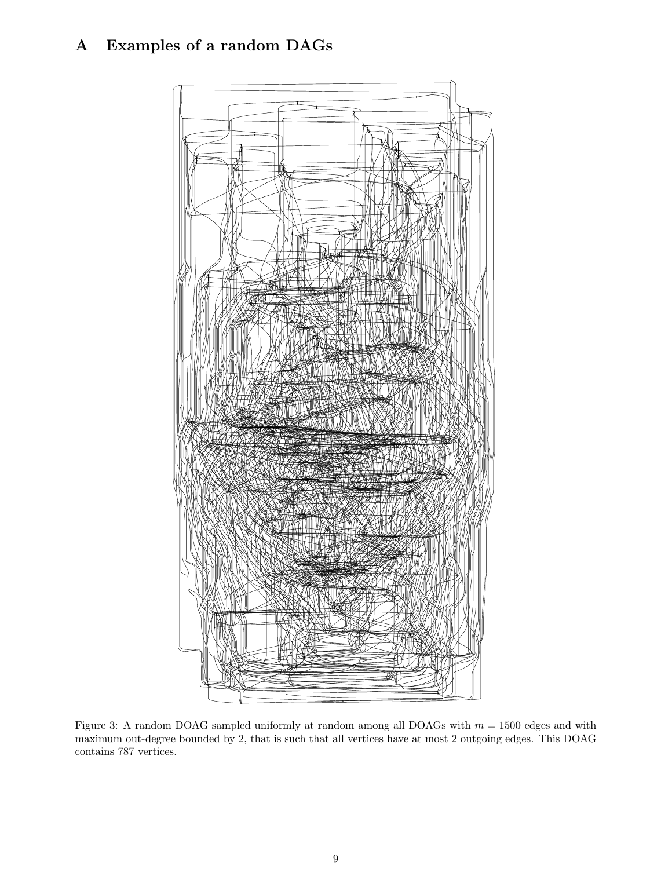# A Examples of a random DAGs



Figure 3: A random DOAG sampled uniformly at random among all DOAGs with  $m = 1500$  edges and with maximum out-degree bounded by 2, that is such that all vertices have at most 2 outgoing edges. This DOAG contains 787 vertices.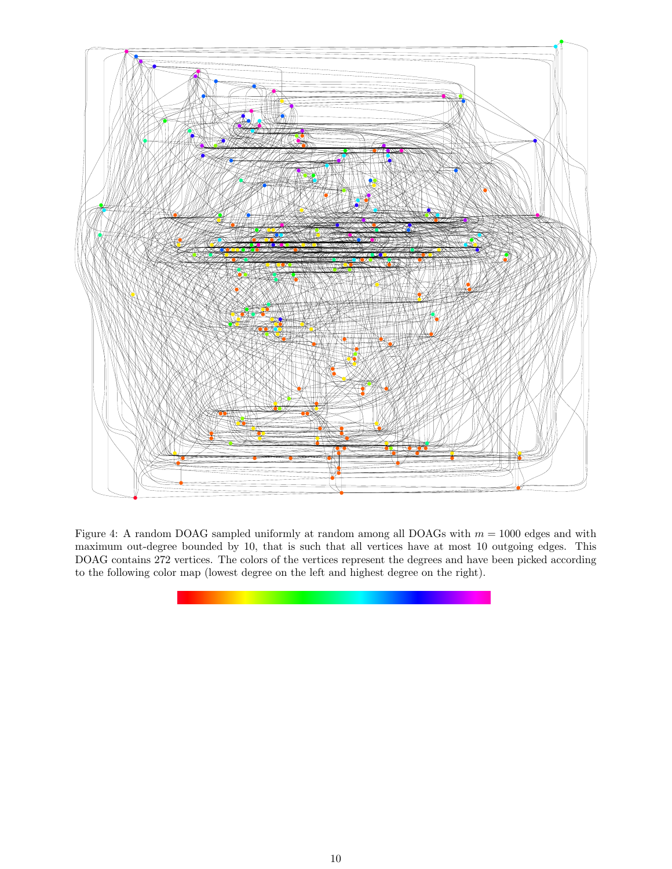

Figure 4: A random DOAG sampled uniformly at random among all DOAGs with  $m = 1000$  edges and with maximum out-degree bounded by 10, that is such that all vertices have at most 10 outgoing edges. This DOAG contains 272 vertices. The colors of the vertices represent the degrees and have been picked according to the following color map (lowest degree on the left and highest degree on the right).

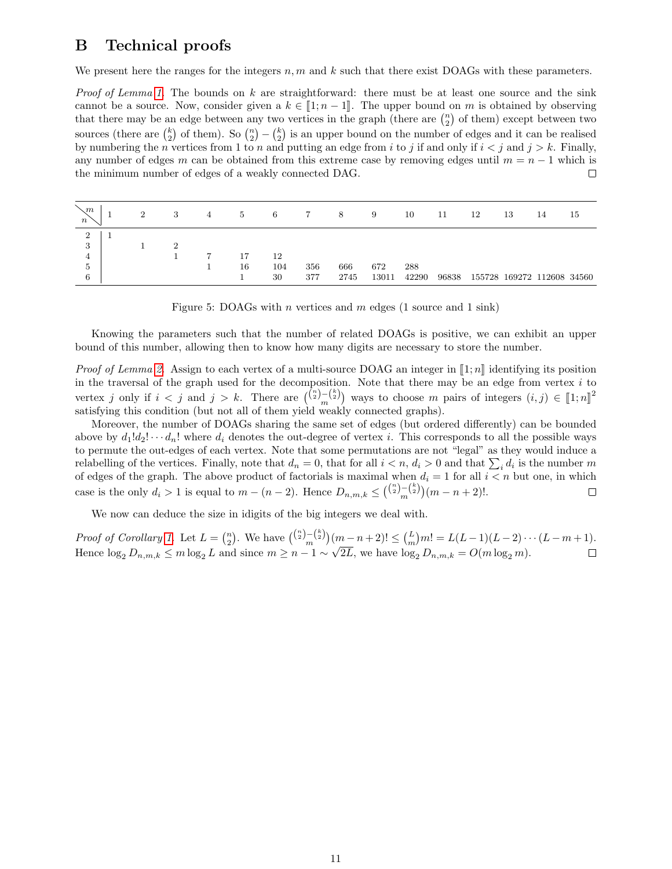## <span id="page-10-0"></span>B Technical proofs

We present here the ranges for the integers  $n, m$  and k such that there exist DOAGs with these parameters.

*Proof of Lemma [1.](#page-3-2)* The bounds on k are straightforward: there must be at least one source and the sink cannot be a source. Now, consider given a  $k \in [1; n-1]$ . The upper bound on m is obtained by observing that there may be an edge between any two vertices in the graph (there are  $\binom{n}{2}$  of them) except between two sources (there are  $\binom{k}{2}$  of them). So  $\binom{n}{2} - \binom{k}{2}$  is an upper bound on the number of edges and it can be realised by numbering the n vertices from 1 to n and putting an edge from i to j if and only if  $i < j$  and  $j > k$ . Finally, any number of edges m can be obtained from this extreme case by removing edges until  $m = n - 1$  which is the minimum number of edges of a weakly connected DAG. П

| $\sqrt{m}$<br>$\boldsymbol{n}$ | $\overline{2}$ | 3        | $\overline{4}$ | -5 | -6              | -7         | 8           | 9            | 10           | 11    | 12 | 13 | 14                         | 15 |
|--------------------------------|----------------|----------|----------------|----|-----------------|------------|-------------|--------------|--------------|-------|----|----|----------------------------|----|
| $\Omega$<br>3<br>4<br>Ð<br>6   |                | $\Omega$ |                | 16 | 12<br>104<br>30 | 356<br>377 | 666<br>2745 | 672<br>13011 | 288<br>42290 | 96838 |    |    | 155728 169272 112608 34560 |    |

Figure 5: DOAGs with *n* vertices and *m* edges (1 source and 1 sink)

Knowing the parameters such that the number of related DOAGs is positive, we can exhibit an upper bound of this number, allowing then to know how many digits are necessary to store the number.

*Proof of Lemma [2.](#page-4-1)* Assign to each vertex of a multi-source DOAG an integer in  $[1; n]$  identifying its position in the traversal of the graph used for the decomposition. Note that there may be an edge from vertex  $i$  to vertex j only if  $i < j$  and  $j > k$ . There are  ${\binom{n}{2} - \binom{k}{2}}$  ways to choose m pairs of integers  $(i, j) \in [1; n]^2$ satisfying this condition (but not all of them yield weakly connected graphs).

Moreover, the number of DOAGs sharing the same set of edges (but ordered differently) can be bounded above by  $d_1!d_2!\cdots d_n!$  where  $d_i$  denotes the out-degree of vertex i. This corresponds to all the possible ways to permute the out-edges of each vertex. Note that some permutations are not "legal" as they would induce a relabelling of the vertices. Finally, note that  $d_n = 0$ , that for all  $i < n$ ,  $d_i > 0$  and that  $\sum_i d_i$  is the number m of edges of the graph. The above product of factorials is maximal when  $d_i = 1$  for all  $i < n$  but one, in which case is the only  $d_i > 1$  is equal to  $m - (n - 2)$ . Hence  $D_{n,m,k} \leq {n \choose 2} \cdot {m \choose 2} (m - n + 2)!$ .  $\Box$ 

We now can deduce the size in idigits of the big integers we deal with.

Proof of Corollary [1.](#page-4-3) Let  $L = \binom{n}{2}$ . We have  $\binom{\binom{n}{2} - \binom{k}{2}}{m - n + 2} \leq \binom{L}{m} m! = L(L-1)(L-2) \cdots (L-m+1)$ . Hence  $\log_2 D_{n,m,k} \le m \log_2 L$  and since  $m \ge n - 1$  ~ √ 2L, we have  $\log_2 D_{n,m,k} = O(m \log_2 m)$ .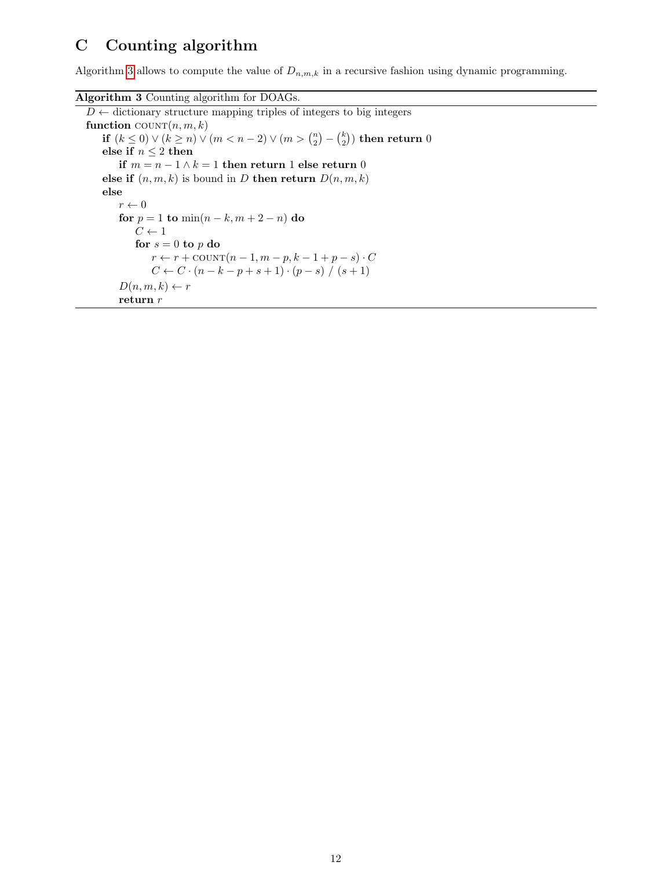## <span id="page-11-0"></span>C Counting algorithm

Algorithm [3](#page-11-1) allows to compute the value of  $D_{n,m,k}$  in a recursive fashion using dynamic programming.

```
Algorithm 3 Counting algorithm for DOAGs.
```

```
D \leftarrow dictionary structure mapping triples of integers to big integers
function \text{COUNT}(n, m, k)if (k \leq 0) \vee (k \geq n) \vee (m < n - 2) \vee (m > \binom{n}{2} - \binom{k}{2}) then return 0else if n \leq 2 then
       if m = n − 1 ∧ k = 1 then return 1 else return 0
    else if (n, m, k) is bound in D then return D(n, m, k)else
        r \leftarrow 0for p = 1 to \min(n - k, m + 2 - n) do
            C \leftarrow 1for s = 0 to p do
               r \leftarrow r + \text{COUNT}(n-1, m-p, k-1+p-s) \cdot CC \leftarrow C \cdot (n - k - p + s + 1) \cdot (p - s) / (s + 1)D(n, m, k) \leftarrow rreturn r
```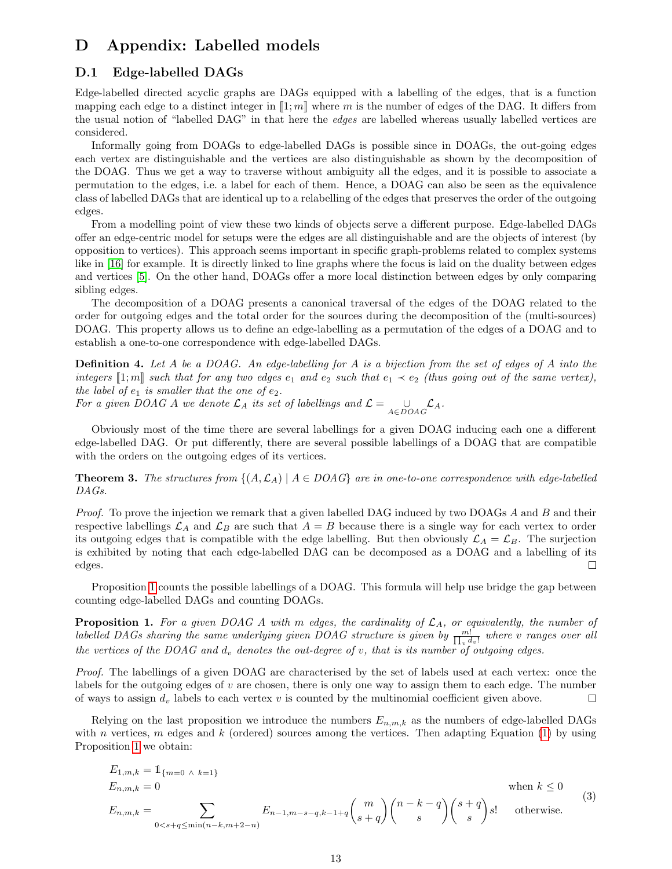## <span id="page-12-0"></span>D Appendix: Labelled models

#### D.1 Edge-labelled DAGs

Edge-labelled directed acyclic graphs are DAGs equipped with a labelling of the edges, that is a function mapping each edge to a distinct integer in  $\llbracket 1; m \rrbracket$  where m is the number of edges of the DAG. It differs from the usual notion of "labelled DAG" in that here the edges are labelled whereas usually labelled vertices are considered.

Informally going from DOAGs to edge-labelled DAGs is possible since in DOAGs, the out-going edges each vertex are distinguishable and the vertices are also distinguishable as shown by the decomposition of the DOAG. Thus we get a way to traverse without ambiguity all the edges, and it is possible to associate a permutation to the edges, i.e. a label for each of them. Hence, a DOAG can also be seen as the equivalence class of labelled DAGs that are identical up to a relabelling of the edges that preserves the order of the outgoing edges.

From a modelling point of view these two kinds of objects serve a different purpose. Edge-labelled DAGs offer an edge-centric model for setups were the edges are all distinguishable and are the objects of interest (by opposition to vertices). This approach seems important in specific graph-problems related to complex systems like in [\[16\]](#page-7-17) for example. It is directly linked to line graphs where the focus is laid on the duality between edges and vertices [\[5\]](#page-7-18). On the other hand, DOAGs offer a more local distinction between edges by only comparing sibling edges.

The decomposition of a DOAG presents a canonical traversal of the edges of the DOAG related to the order for outgoing edges and the total order for the sources during the decomposition of the (multi-sources) DOAG. This property allows us to define an edge-labelling as a permutation of the edges of a DOAG and to establish a one-to-one correspondence with edge-labelled DAGs.

**Definition 4.** Let A be a DOAG. An edge-labelling for A is a bijection from the set of edges of A into the integers  $[1;m]$  such that for any two edges  $e_1$  and  $e_2$  such that  $e_1 \prec e_2$  (thus going out of the same vertex), the label of  $e_1$  is smaller that the one of  $e_2$ .

For a given DOAG A we denote  $\mathcal{L}_A$  its set of labellings and  $\mathcal{L} = \bigcup_{A \in DOAG} \mathcal{L}_A$ .

Obviously most of the time there are several labellings for a given DOAG inducing each one a different edge-labelled DAG. Or put differently, there are several possible labellings of a DOAG that are compatible with the orders on the outgoing edges of its vertices.

**Theorem 3.** The structures from  $\{(A, \mathcal{L}_A) | A \in DOAG\}$  are in one-to-one correspondence with edge-labelled DAG<sub>s</sub>.

Proof. To prove the injection we remark that a given labelled DAG induced by two DOAGs A and B and their respective labellings  $\mathcal{L}_A$  and  $\mathcal{L}_B$  are such that  $A = B$  because there is a single way for each vertex to order its outgoing edges that is compatible with the edge labelling. But then obviously  $\mathcal{L}_A = \mathcal{L}_B$ . The surjection is exhibited by noting that each edge-labelled DAG can be decomposed as a DOAG and a labelling of its edges.  $\Box$ 

Proposition [1](#page-12-1) counts the possible labellings of a DOAG. This formula will help use bridge the gap between counting edge-labelled DAGs and counting DOAGs.

<span id="page-12-1"></span>**Proposition 1.** For a given DOAG A with m edges, the cardinality of  $\mathcal{L}_A$ , or equivalently, the number of labelled DAGs sharing the same underlying given DOAG structure is given by  $\frac{m!}{\prod_v d_v!}$  where v ranges over all the vertices of the DOAG and  $d_v$  denotes the out-degree of v, that is its number of outgoing edges.

Proof. The labellings of a given DOAG are characterised by the set of labels used at each vertex: once the labels for the outgoing edges of v are chosen, there is only one way to assign them to each edge. The number of ways to assign  $d_v$  labels to each vertex v is counted by the multinomial coefficient given above.  $\Box$ 

Relying on the last proposition we introduce the numbers  $E_{n,m,k}$  as the numbers of edge-labelled DAGs with n vertices, m edges and k (ordered) sources among the vertices. Then adapting Equation [\(1\)](#page-3-1) by using Proposition [1](#page-12-1) we obtain:

$$
E_{1,m,k} = 1_{\{m=0 \land k=1\}}
$$
  
\n
$$
E_{n,m,k} = 0
$$
 when  $k \le 0$   
\n
$$
E_{n,m,k} = \sum_{0 < s + q \le \min(n-k,m+2-n)} E_{n-1,m-s-q,k-1+q} \binom{m}{s+q} \binom{n-k-q}{s} \binom{s+q}{s} s! \text{ otherwise.}
$$
\n(3)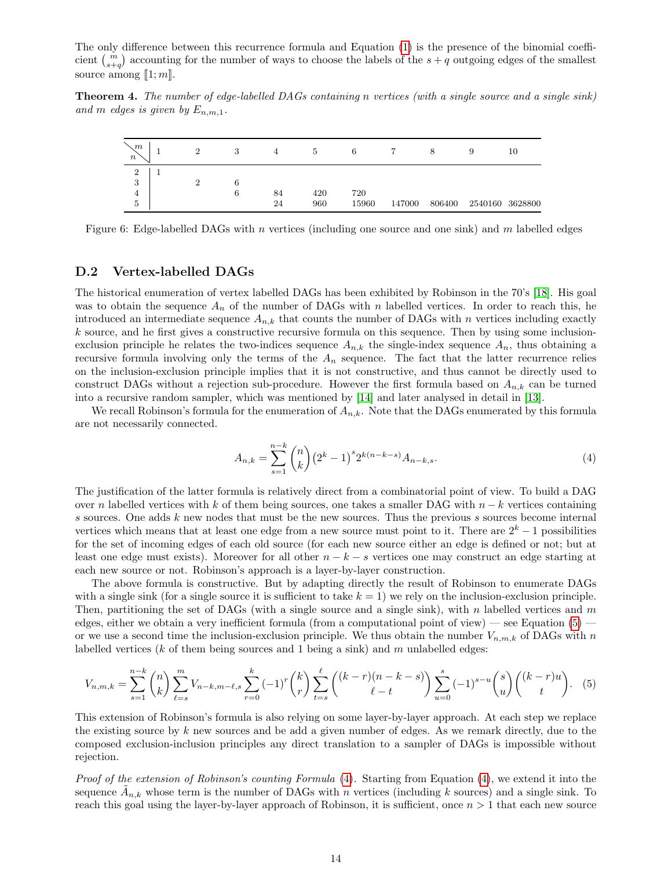The only difference between this recurrence formula and Equation [\(1\)](#page-3-1) is the presence of the binomial coefficient  $\binom{m}{s+q}$  accounting for the number of ways to choose the labels of the s + q outgoing edges of the smallest source among  $\llbracket 1; m \rrbracket$ .

Theorem 4. The number of edge-labelled DAGs containing n vertices (with a single source and a single sink) and m edges is given by  $E_{n,m,1}$ .

| $\mathfrak{m}$<br>$\boldsymbol{n}$ | 2 | 3      |          | 5          | 6            |        | 8      | 9               | 10 |
|------------------------------------|---|--------|----------|------------|--------------|--------|--------|-----------------|----|
| $\Omega$<br>▵<br>3<br>4<br>5       |   | 6<br>6 | 84<br>24 | 420<br>960 | 720<br>15960 | 147000 | 806400 | 2540160 3628800 |    |

Figure 6: Edge-labelled DAGs with n vertices (including one source and one sink) and m labelled edges

#### D.2 Vertex-labelled DAGs

The historical enumeration of vertex labelled DAGs has been exhibited by Robinson in the 70's [\[18\]](#page-7-5). His goal was to obtain the sequence  $A_n$  of the number of DAGs with n labelled vertices. In order to reach this, he introduced an intermediate sequence  $A_{n,k}$  that counts the number of DAGs with n vertices including exactly k source, and he first gives a constructive recursive formula on this sequence. Then by using some inclusionexclusion principle he relates the two-indices sequence  $A_{n,k}$  the single-index sequence  $A_n$ , thus obtaining a recursive formula involving only the terms of the  $A_n$  sequence. The fact that the latter recurrence relies on the inclusion-exclusion principle implies that it is not constructive, and thus cannot be directly used to construct DAGs without a rejection sub-procedure. However the first formula based on  $A_{n,k}$  can be turned into a recursive random sampler, which was mentioned by [\[14\]](#page-7-7) and later analysed in detail in [\[13\]](#page-7-6).

We recall Robinson's formula for the enumeration of  $A_{n,k}$ . Note that the DAGs enumerated by this formula are not necessarily connected.

<span id="page-13-1"></span><span id="page-13-0"></span>
$$
A_{n,k} = \sum_{s=1}^{n-k} \binom{n}{k} \left(2^k - 1\right)^s 2^{k(n-k-s)} A_{n-k,s}.
$$
\n<sup>(4)</sup>

The justification of the latter formula is relatively direct from a combinatorial point of view. To build a DAG over n labelled vertices with k of them being sources, one takes a smaller DAG with  $n - k$  vertices containing s sources. One adds  $k$  new nodes that must be the new sources. Thus the previous  $s$  sources become internal vertices which means that at least one edge from a new source must point to it. There are  $2<sup>k</sup> - 1$  possibilities for the set of incoming edges of each old source (for each new source either an edge is defined or not; but at least one edge must exists). Moreover for all other  $n - k - s$  vertices one may construct an edge starting at each new source or not. Robinson's approach is a layer-by-layer construction.

The above formula is constructive. But by adapting directly the result of Robinson to enumerate DAGs with a single sink (for a single source it is sufficient to take  $k = 1$ ) we rely on the inclusion-exclusion principle. Then, partitioning the set of DAGs (with a single source and a single sink), with n labelled vertices and m edges, either we obtain a very inefficient formula (from a computational point of view) — see Equation  $(5)$  or we use a second time the inclusion-exclusion principle. We thus obtain the number  $V_{n,m,k}$  of DAGs with n labelled vertices ( $k$  of them being sources and 1 being a sink) and  $m$  unlabelled edges:

$$
V_{n,m,k} = \sum_{s=1}^{n-k} \binom{n}{k} \sum_{\ell=s}^m V_{n-k,m-\ell,s} \sum_{r=0}^k (-1)^r \binom{k}{r} \sum_{t=s}^\ell \binom{(k-r)(n-k-s)}{\ell-t} \sum_{u=0}^s (-1)^{s-u} \binom{s}{u} \binom{(k-r)u}{t}.
$$
 (5)

This extension of Robinson's formula is also relying on some layer-by-layer approach. At each step we replace the existing source by  $k$  new sources and be add a given number of edges. As we remark directly, due to the composed exclusion-inclusion principles any direct translation to a sampler of DAGs is impossible without rejection.

Proof of the extension of Robinson's counting Formula [\(4\)](#page-13-1). Starting from Equation (4), we extend it into the sequence  $\tilde{A}_{n,k}$  whose term is the number of DAGs with n vertices (including k sources) and a single sink. To reach this goal using the layer-by-layer approach of Robinson, it is sufficient, once  $n > 1$  that each new source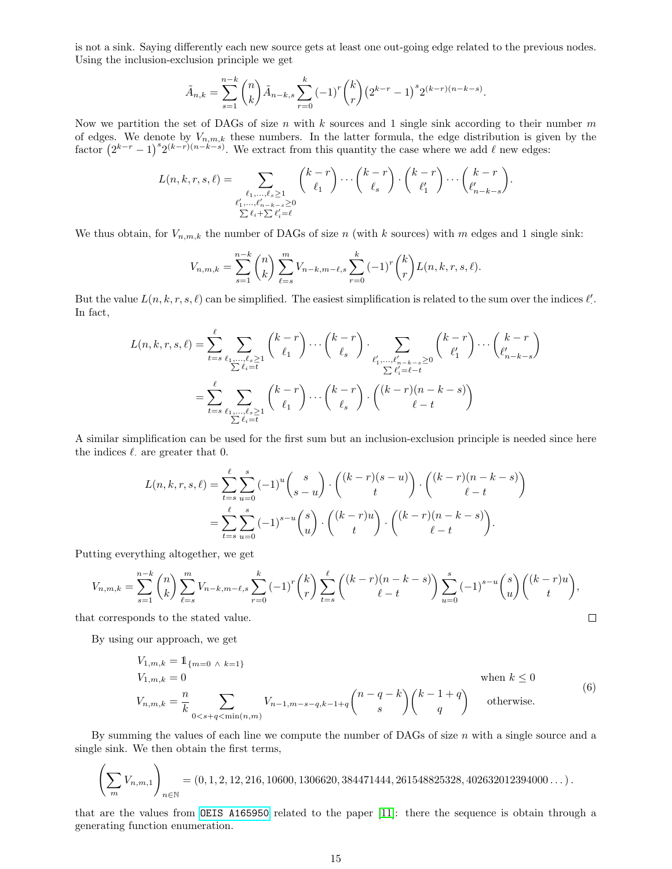is not a sink. Saying differently each new source gets at least one out-going edge related to the previous nodes. Using the inclusion-exclusion principle we get

$$
\tilde{A}_{n,k} = \sum_{s=1}^{n-k} \binom{n}{k} \tilde{A}_{n-k,s} \sum_{r=0}^{k} (-1)^r \binom{k}{r} \left( 2^{k-r} - 1 \right)^s 2^{(k-r)(n-k-s)}.
$$

Now we partition the set of DAGs of size n with k sources and 1 single sink according to their number  $m$ of edges. We denote by  $V_{n,m,k}$  these numbers. In the latter formula, the edge distribution is given by the factor  $(2^{k-r}-1)^s 2^{(k-r)(n-k-s)}$ . We extract from this quantity the case where we add  $\ell$  new edges:

$$
L(n,k,r,s,\ell) = \sum_{\substack{\ell_1,\ldots,\ell_s \ge 1 \\ \ell'_1,\ldots,\ell'_{n-k-s} \ge 0 \\ \sum \ell_i + \sum \ell'_i = \ell}} \binom{k-r}{\ell_1} \cdots \binom{k-r}{\ell_s} \cdot \binom{k-r}{\ell'_1} \cdots \binom{k-r}{\ell'_{n-k-s}}.
$$

We thus obtain, for  $V_{n,m,k}$  the number of DAGs of size n (with k sources) with m edges and 1 single sink:

$$
V_{n,m,k} = \sum_{s=1}^{n-k} \binom{n}{k} \sum_{\ell=s}^{m} V_{n-k,m-\ell,s} \sum_{r=0}^{k} (-1)^r \binom{k}{r} L(n,k,r,s,\ell).
$$

But the value  $L(n, k, r, s, \ell)$  can be simplified. The easiest simplification is related to the sum over the indices  $\ell'$ . In fact,

$$
L(n,k,r,s,\ell) = \sum_{t=s}^{\ell} \sum_{\substack{\ell_1,\ldots,\ell_s \geq 1 \\ \sum \ell_i = t}} \binom{k-r}{\ell_1} \cdots \binom{k-r}{\ell_s} \cdot \sum_{\substack{\ell'_1,\ldots,\ell'_{n-k-s} \geq 0 \\ \sum \ell'_i = \ell-t}} \binom{k-r}{\ell'_1} \cdots \binom{k-r}{\ell_s} \cdot \sum_{\substack{\ell'_1,\ldots,\ell'_{n-k-s} \geq 0 \\ \ell_1 = \ell-t}} \binom{k-r}{\ell_1} \cdots \binom{k-r}{\ell_s} \cdot \binom{(k-r)(n-k-s)}{\ell-t}
$$

A similar simplification can be used for the first sum but an inclusion-exclusion principle is needed since here the indices  $\ell$ . are greater that 0.

$$
L(n, k, r, s, \ell) = \sum_{t=s}^{\ell} \sum_{u=0}^{s} (-1)^{u} {s \choose s-u} \cdot { (k-r)(s-u) \choose t} \cdot { (k-r)(n-k-s) \choose \ell-t}
$$
  
= 
$$
\sum_{t=s}^{\ell} \sum_{u=0}^{s} (-1)^{s-u} {s \choose u} \cdot { (k-r)u \choose t} \cdot { (k-r)(n-k-s) \choose \ell-t}.
$$

Putting everything altogether, we get

$$
V_{n,m,k} = \sum_{s=1}^{n-k} \binom{n}{k} \sum_{\ell=s}^m V_{n-k,m-\ell,s} \sum_{r=0}^k (-1)^r \binom{k}{r} \sum_{t=s}^\ell \binom{(k-r)(n-k-s)}{\ell-t} \sum_{u=0}^s (-1)^{s-u} \binom{s}{u} \binom{(k-r)u}{t},
$$
  
it corresponds to the stated value.

that corresponds to the stated value.

By using our approach, we get

$$
V_{1,m,k} = 1_{\{m=0 \land k=1\}}
$$
  
\n
$$
V_{1,m,k} = 0
$$
 when  $k \le 0$   
\n
$$
V_{n,m,k} = \frac{n}{k} \sum_{0 < s+q < \min(n,m)} V_{n-1,m-s-q,k-1+q} \binom{n-q-k}{s} \binom{k-1+q}{q}
$$
 otherwise. (6)

By summing the values of each line we compute the number of DAGs of size  $n$  with a single source and a single sink. We then obtain the first terms,

$$
\left(\sum_{m} V_{n,m,1}\right)_{n \in \mathbb{N}} = (0, 1, 2, 12, 216, 10600, 1306620, 384471444, 261548825328, 402632012394000\dots).
$$

that are the values from [OEIS A165950](https://oeis.org/A165950) related to the paper [\[11\]](#page-7-10): there the sequence is obtain through a generating function enumeration.